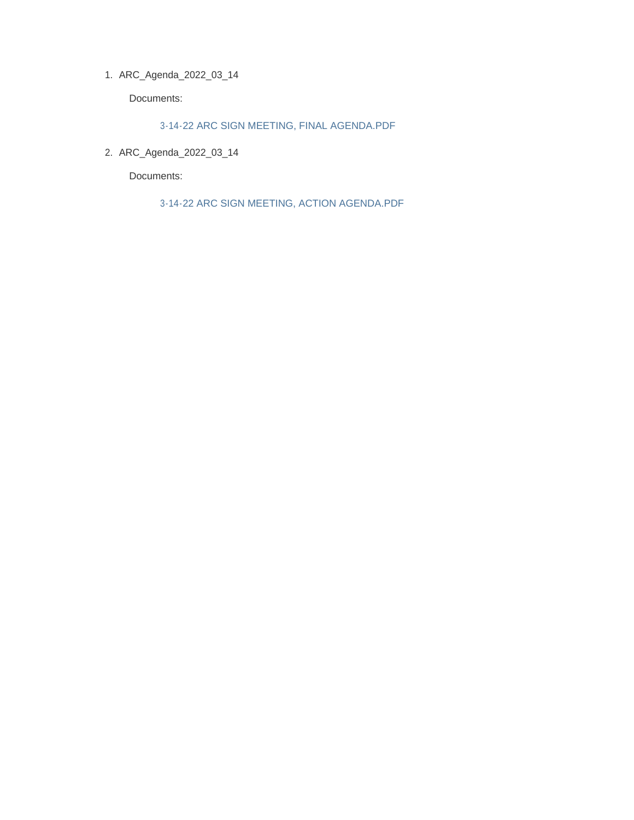ARC\_Agenda\_2022\_03\_14 1.

Documents:

3-14-22 ARC SIGN MEETING, FINAL AGENDA.PDF

ARC\_Agenda\_2022\_03\_14 2.

Documents:

3-14-22 ARC SIGN MEETING, ACTION AGENDA.PDF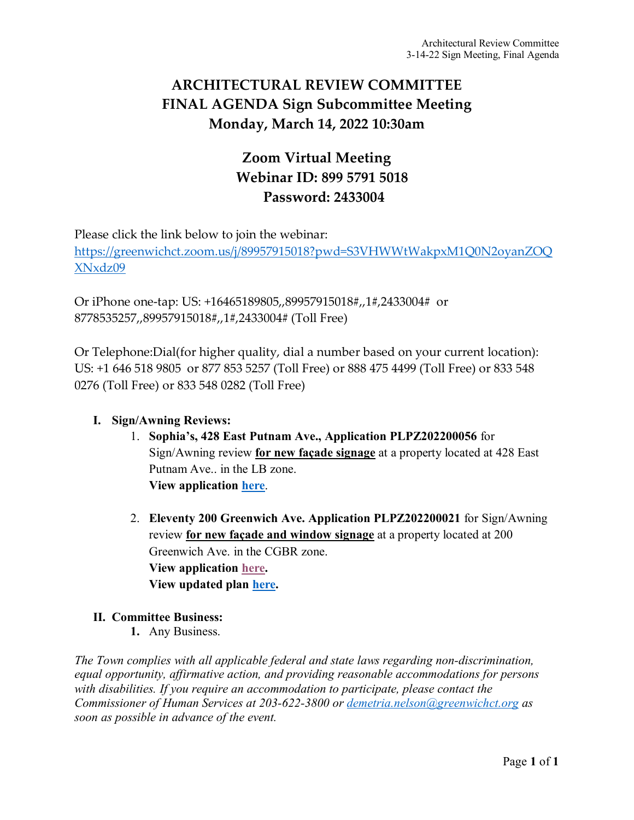### **ARCHITECTURAL REVIEW COMMITTEE FINAL AGENDA Sign Subcommittee Meeting Monday, March 14, 2022 10:30am**

# **Zoom Virtual Meeting Webinar ID: 899 5791 5018 Password: 2433004**

Please click the link below to join the webinar:

[https://greenwichct.zoom.us/j/89957915018?pwd=S3VHWWtWakpxM1Q0N2oyanZOQ](https://greenwichct.zoom.us/j/89957915018?pwd=S3VHWWtWakpxM1Q0N2oyanZOQXNxdz09) [XNxdz09](https://greenwichct.zoom.us/j/89957915018?pwd=S3VHWWtWakpxM1Q0N2oyanZOQXNxdz09)

Or iPhone one-tap: US: +16465189805,,89957915018#,,1#,2433004# or 8778535257,,89957915018#,,1#,2433004# (Toll Free)

Or Telephone:Dial(for higher quality, dial a number based on your current location): US: +1 646 518 9805 or 877 853 5257 (Toll Free) or 888 475 4499 (Toll Free) or 833 548 0276 (Toll Free) or 833 548 0282 (Toll Free)

#### **I. Sign/Awning Reviews:**

- 1. **Sophia's, 428 East Putnam Ave., Application PLPZ202200056** for Sign/Awning review **for new façade signage** at a property located at 428 East Putnam Ave.. in the LB zone. **View application [here](https://www.greenwichct.gov/DocumentCenter/View/29017/Application-Sophias-428-EPA-PLPZ202200056)**.
- 2. **Eleventy 200 Greenwich Ave. Application PLPZ202200021** for Sign/Awning review **for new façade and window signage** at a property located at 200 Greenwich Ave. in the CGBR zone. **View application [here.](https://www.greenwichct.gov/DocumentCenter/View/28060/Eleventy-200-Greenwich-Ave-PLPZ202200021) View updated plan [here.](https://www.greenwichct.gov/DocumentCenter/View/29016/eleventy-sign_PERMIT_revised-PLPZ202200021)**

#### **II. Committee Business:**

**1.** Any Business.

*The Town complies with all applicable federal and state laws regarding non-discrimination, equal opportunity, affirmative action, and providing reasonable accommodations for persons with disabilities. If you require an accommodation to participate, please contact the Commissioner of Human Services at 203-622-3800 or [demetria.nelson@greenwichct.org](mailto:demetria.nelson@greenwichct.org) as soon as possible in advance of the event.*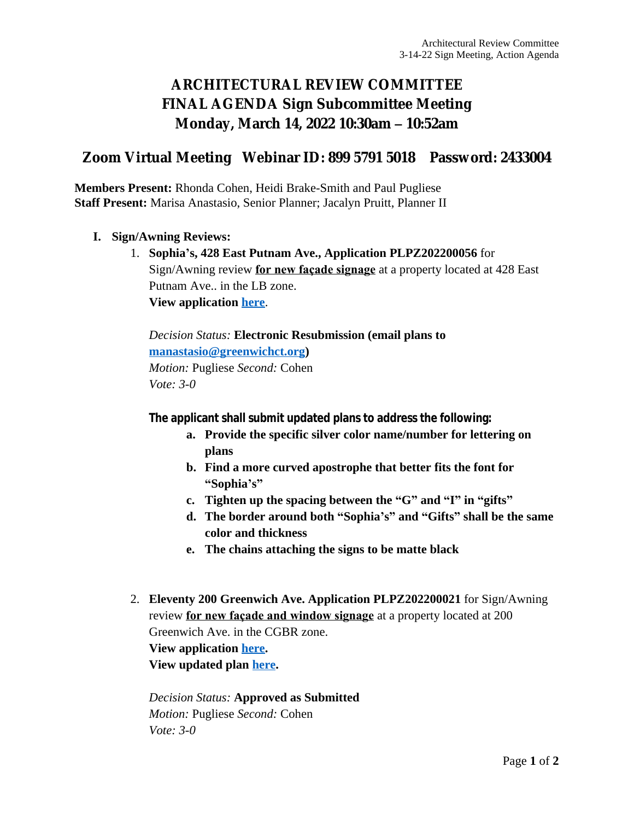# **ARCHITECTURAL REVIEW COMMITTEE FINAL AGENDA Sign Subcommittee Meeting Monday, March 14, 2022 10:30am – 10:52am**

### **Zoom Virtual Meeting Webinar ID: 899 5791 5018 Password: 2433004**

**Members Present:** Rhonda Cohen, Heidi Brake-Smith and Paul Pugliese **Staff Present:** Marisa Anastasio, Senior Planner; Jacalyn Pruitt, Planner II

- **I. Sign/Awning Reviews:**
	- 1. **Sophia's, 428 East Putnam Ave., Application PLPZ202200056** for Sign/Awning review **for new façade signage** at a property located at 428 East Putnam Ave.. in the LB zone. **View application [here](https://www.greenwichct.gov/DocumentCenter/View/29017/Application-Sophias-428-EPA-PLPZ202200056)**.

*Decision Status:* **Electronic Resubmission (email plans to [manastasio@greenwichct.org\)](mailto:manastasio@greenwichct.org)** *Motion:* Pugliese *Second:* Cohen *Vote: 3-0*

**The applicant shall submit updated plans to address the following:**

- **a. Provide the specific silver color name/number for lettering on plans**
- **b. Find a more curved apostrophe that better fits the font for "Sophia's"**
- **c. Tighten up the spacing between the "G" and "I" in "gifts"**
- **d. The border around both "Sophia's" and "Gifts" shall be the same color and thickness**
- **e. The chains attaching the signs to be matte black**
- 2. **Eleventy 200 Greenwich Ave. Application PLPZ202200021** for Sign/Awning review **for new façade and window signage** at a property located at 200 Greenwich Ave. in the CGBR zone. **View application [here.](https://www.greenwichct.gov/DocumentCenter/View/28060/Eleventy-200-Greenwich-Ave-PLPZ202200021) View updated plan [here](https://www.greenwichct.gov/DocumentCenter/View/29016/eleventy-sign_PERMIT_revised-PLPZ202200021).**

*Decision Status:* **Approved as Submitted** *Motion:* Pugliese *Second:* Cohen *Vote: 3-0*